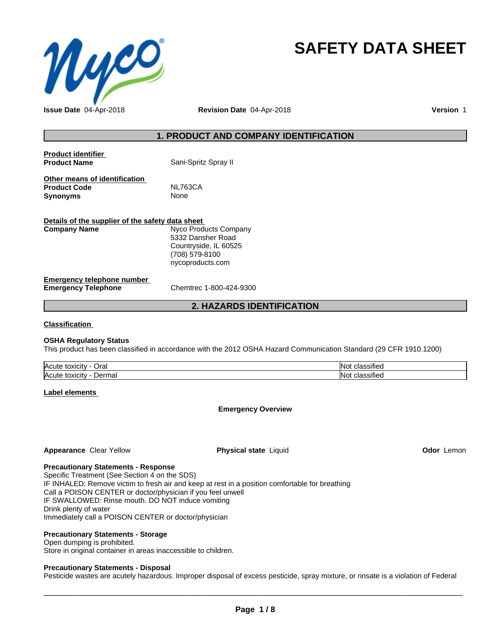

# **SAFETY DATA SHEET**

# **1. PRODUCT AND COMPANY IDENTIFICATION**

| <b>Product identifier</b><br><b>Product Name</b> | Sani-Spritz Spray II  |  |
|--------------------------------------------------|-----------------------|--|
| Other means of identification                    |                       |  |
| <b>Product Code</b>                              | NL763CA               |  |
| <b>Synonyms</b>                                  | None                  |  |
| Details of the supplier of the safety data sheet |                       |  |
| <b>Company Name</b>                              | Nyco Products Company |  |
|                                                  | 5332 Dansher Road     |  |

**Emergency telephone number**

**Emergency Telephone** Chemtrec 1-800-424-9300

Countryside, IL 60525 (708) 579-8100 nycoproducts.com

# **2. HAZARDS IDENTIFICATION**

**Classification**

#### **OSHA Regulatory Status**

This product has been classified in accordance with the 2012 OSHA Hazard Communication Standard (29 CFR 1910.1200)

| <b>Acute</b><br>Oral<br>$+0.2101$<br><b>TOXIGILY</b> | 'Not<br><b>PULLED</b> |
|------------------------------------------------------|-----------------------|
| <b>Acute</b><br>⊃erma<br>toxicity<br>⊓idi            | . .<br>™∩ ≀           |

**Label elements**

#### **Emergency Overview**

#### **Appearance** Clear Yellow **Physical state** Liquid **Odor** Lemon

**Precautionary Statements - Response**

Specific Treatment (See Section 4 on the SDS) IF INHALED: Remove victim to fresh air and keep at rest in a position comfortable for breathing Call a POISON CENTER or doctor/physician if you feel unwell IF SWALLOWED: Rinse mouth. DO NOT induce vomiting Drink plenty of water Immediately call a POISON CENTER or doctor/physician

#### **Precautionary Statements - Storage**

#### Open dumping is prohibited.

Store in original container in areas inaccessible to children.

#### **Precautionary Statements - Disposal**

Pesticide wastes are acutely hazardous. Improper disposal of excess pesticide, spray mixture, or rinsate is a violation of Federal

 $\overline{\phantom{a}}$  ,  $\overline{\phantom{a}}$  ,  $\overline{\phantom{a}}$  ,  $\overline{\phantom{a}}$  ,  $\overline{\phantom{a}}$  ,  $\overline{\phantom{a}}$  ,  $\overline{\phantom{a}}$  ,  $\overline{\phantom{a}}$  ,  $\overline{\phantom{a}}$  ,  $\overline{\phantom{a}}$  ,  $\overline{\phantom{a}}$  ,  $\overline{\phantom{a}}$  ,  $\overline{\phantom{a}}$  ,  $\overline{\phantom{a}}$  ,  $\overline{\phantom{a}}$  ,  $\overline{\phantom{a}}$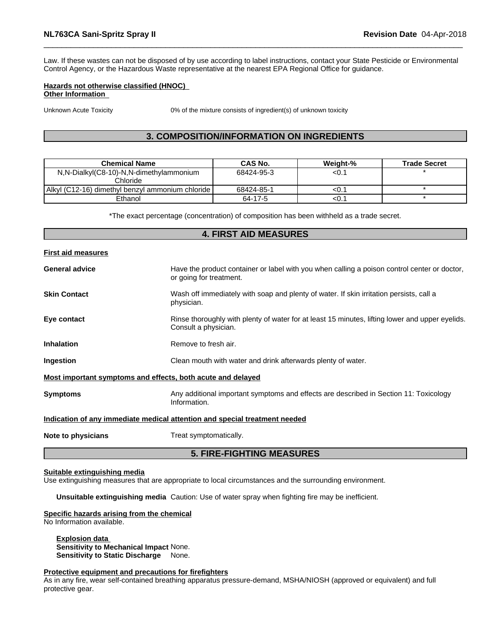Law. If these wastes can not be disposed of by use according to label instructions, contact your State Pesticide or Environmental Control Agency, or the Hazardous Waste representative at the nearest EPA Regional Office for guidance.

#### **Hazards not otherwise classified (HNOC) Other Information**

Unknown Acute Toxicity 0% of the mixture consists of ingredient(s) of unknown toxicity

# **3. COMPOSITION/INFORMATION ON INGREDIENTS**

| <b>Chemical Name</b>                             | CAS No.    | Weiaht-% | <b>Trade Secret</b> |
|--------------------------------------------------|------------|----------|---------------------|
| N,N-Dialkyl(C8-10)-N,N-dimethylammonium          | 68424-95-3 | <0.1     |                     |
| Chloride                                         |            |          |                     |
| Alkyl (C12-16) dimethyl benzyl ammonium chloride | 68424-85-1 | <∪. ֿ    |                     |
| Ethanol                                          | 64-17-5    | <∪. ֿ    |                     |

\*The exact percentage (concentration) of composition has been withheld as a trade secret.

| <b>4. FIRST AID MEASURES</b> |                                                                                                                         |  |  |  |
|------------------------------|-------------------------------------------------------------------------------------------------------------------------|--|--|--|
| <b>First aid measures</b>    |                                                                                                                         |  |  |  |
| <b>General advice</b>        | Have the product container or label with you when calling a poison control center or doctor,<br>or going for treatment. |  |  |  |
| <b>Skin Contact</b>          | Wash off immediately with soap and plenty of water. If skin irritation persists, call a<br>physician.                   |  |  |  |
| Eye contact                  | Rinse thoroughly with plenty of water for at least 15 minutes, lifting lower and upper eyelids.<br>Consult a physician. |  |  |  |
| <b>Inhalation</b>            | Remove to fresh air.                                                                                                    |  |  |  |
| Ingestion                    | Clean mouth with water and drink afterwards plenty of water.                                                            |  |  |  |
|                              | Most important symptoms and effects, both acute and delayed                                                             |  |  |  |
| <b>Symptoms</b>              | Any additional important symptoms and effects are described in Section 11: Toxicology<br>Information.                   |  |  |  |
|                              | Indication of any immediate medical attention and special treatment needed                                              |  |  |  |
| Note to physicians           | Treat symptomatically.                                                                                                  |  |  |  |
|                              | <b>5. FIRE-FIGHTING MEASURES</b>                                                                                        |  |  |  |

#### **Suitable extinguishing media**

Use extinguishing measures that are appropriate to local circumstances and the surrounding environment.

**Unsuitable extinguishing media** Caution: Use of water spray when fighting fire may be inefficient.

#### **Specific hazards arising from the chemical**

No Information available.

**Explosion data Sensitivity to Mechanical Impact** None. **Sensitivity to Static Discharge** None.

#### **Protective equipment and precautions for firefighters**

As in any fire, wear self-contained breathing apparatus pressure-demand, MSHA/NIOSH (approved or equivalent) and full protective gear.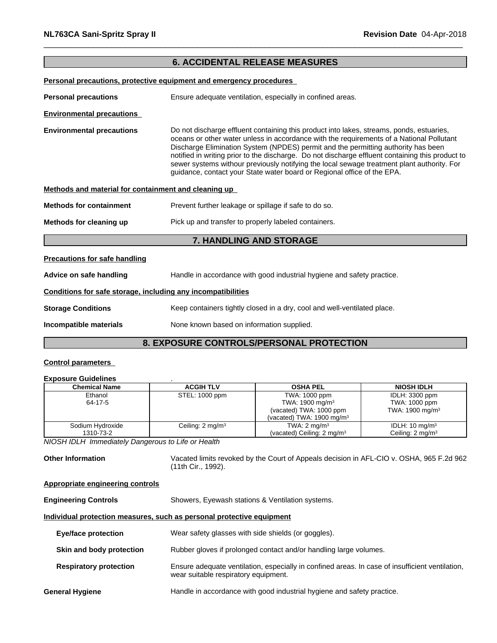# **6. ACCIDENTAL RELEASE MEASURES**

|                                                              | Personal precautions, protective equipment and emergency procedures                                                                                                                                                                                                                                                                                                                                                                                                                                                                                    |  |  |  |
|--------------------------------------------------------------|--------------------------------------------------------------------------------------------------------------------------------------------------------------------------------------------------------------------------------------------------------------------------------------------------------------------------------------------------------------------------------------------------------------------------------------------------------------------------------------------------------------------------------------------------------|--|--|--|
| <b>Personal precautions</b>                                  | Ensure adequate ventilation, especially in confined areas.                                                                                                                                                                                                                                                                                                                                                                                                                                                                                             |  |  |  |
| <b>Environmental precautions</b>                             |                                                                                                                                                                                                                                                                                                                                                                                                                                                                                                                                                        |  |  |  |
| <b>Environmental precautions</b>                             | Do not discharge effluent containing this product into lakes, streams, ponds, estuaries,<br>oceans or other water unless in accordance with the requirements of a National Pollutant<br>Discharge Elimination System (NPDES) permit and the permitting authority has been<br>notified in writing prior to the discharge. Do not discharge effluent containing this product to<br>sewer systems withour previously notifying the local sewage treatment plant authority. For<br>guidance, contact your State water board or Regional office of the EPA. |  |  |  |
| Methods and material for containment and cleaning up         |                                                                                                                                                                                                                                                                                                                                                                                                                                                                                                                                                        |  |  |  |
| <b>Methods for containment</b>                               | Prevent further leakage or spillage if safe to do so.                                                                                                                                                                                                                                                                                                                                                                                                                                                                                                  |  |  |  |
| Methods for cleaning up                                      | Pick up and transfer to properly labeled containers.                                                                                                                                                                                                                                                                                                                                                                                                                                                                                                   |  |  |  |
|                                                              | 7. HANDLING AND STORAGE                                                                                                                                                                                                                                                                                                                                                                                                                                                                                                                                |  |  |  |
| <b>Precautions for safe handling</b>                         |                                                                                                                                                                                                                                                                                                                                                                                                                                                                                                                                                        |  |  |  |
| Advice on safe handling                                      | Handle in accordance with good industrial hygiene and safety practice.                                                                                                                                                                                                                                                                                                                                                                                                                                                                                 |  |  |  |
| Conditions for safe storage, including any incompatibilities |                                                                                                                                                                                                                                                                                                                                                                                                                                                                                                                                                        |  |  |  |
| <b>Storage Conditions</b>                                    | Keep containers tightly closed in a dry, cool and well-ventilated place.                                                                                                                                                                                                                                                                                                                                                                                                                                                                               |  |  |  |
| Incompatible materials                                       | None known based on information supplied.                                                                                                                                                                                                                                                                                                                                                                                                                                                                                                              |  |  |  |
|                                                              | <b>8. EXPOSURE CONTROLS/PERSONAL PROTECTION</b>                                                                                                                                                                                                                                                                                                                                                                                                                                                                                                        |  |  |  |

#### **Control parameters**

#### **Exposure Guidelines** .

| <b>Chemical Name</b> | <b>ACGIH TLV</b>            | <b>OSHA PEL</b>                       | <b>NIOSH IDLH</b>           |
|----------------------|-----------------------------|---------------------------------------|-----------------------------|
| Ethanol              | STEL: 1000 ppm              | TWA: 1000 ppm                         | IDLH: 3300 ppm              |
| 64-17-5              |                             | TWA: 1900 mg/m <sup>3</sup>           | TWA: 1000 ppm               |
|                      |                             | (vacated) TWA: 1000 ppm               | TWA: 1900 mg/m <sup>3</sup> |
|                      |                             | (vacated) TWA: $1900 \text{ mg/m}^3$  |                             |
| Sodium Hydroxide     | Ceiling: $2 \text{ mg/m}^3$ | TWA: $2 \text{ mg/m}^3$               | IDLH: $10 \text{ mg/m}^3$   |
| 1310-73-2            |                             | (vacated) Ceiling: $2 \text{ mg/m}^3$ | Ceiling: $2 \text{ mg/m}^3$ |

*NIOSH IDLH Immediately Dangerous to Life or Health*

**Other Information** Vacated limits revoked by the Court of Appeals decision in AFL-CIO v.OSHA, 965 F.2d 962 (11th Cir., 1992).

# **Appropriate engineering controls**

**Engineering Controls** Showers, Eyewash stations & Ventilation systems.

#### **Individual protection measures, such as personal protective equipment**

| <b>Eye/face protection</b>    | Wear safety glasses with side shields (or goggles).                                                                                     |
|-------------------------------|-----------------------------------------------------------------------------------------------------------------------------------------|
| Skin and body protection      | Rubber gloves if prolonged contact and/or handling large volumes.                                                                       |
| <b>Respiratory protection</b> | Ensure adequate ventilation, especially in confined areas. In case of insufficient ventilation,<br>wear suitable respiratory equipment. |
| General Hygiene               | Handle in accordance with good industrial hygiene and safety practice.                                                                  |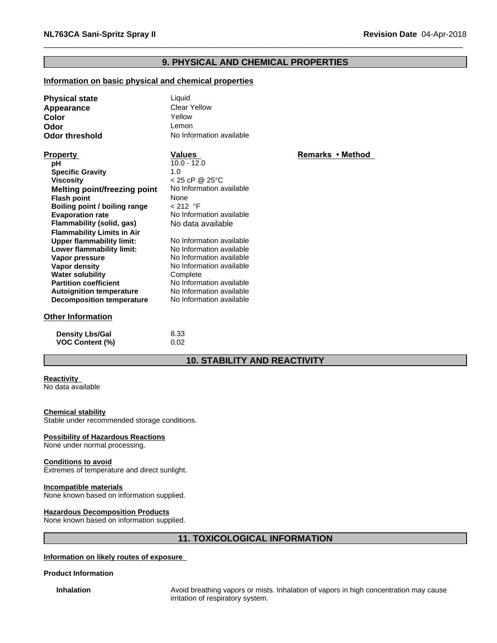# **9. PHYSICAL AND CHEMICAL PROPERTIES**

# **Information on basic physical and chemical properties**

| <b>Physical state</b>               | Liquid                   |                  |  |
|-------------------------------------|--------------------------|------------------|--|
| Appearance                          | Clear Yellow             |                  |  |
| Color                               | Yellow                   |                  |  |
| Odor                                | Lemon                    |                  |  |
| <b>Odor threshold</b>               | No Information available |                  |  |
|                                     |                          |                  |  |
| <b>Property</b>                     | <b>Values</b>            | Remarks • Method |  |
| pH                                  | $10.0 - 12.0$            |                  |  |
| <b>Specific Gravity</b>             | 1.0                      |                  |  |
| <b>Viscosity</b>                    | < 25 cP @ 25°C           |                  |  |
| <b>Melting point/freezing point</b> | No Information available |                  |  |
| <b>Flash point</b>                  | None                     |                  |  |
| Boiling point / boiling range       | < 212 °F                 |                  |  |
| <b>Evaporation rate</b>             | No Information available |                  |  |
| Flammability (solid, gas)           | No data available        |                  |  |
| <b>Flammability Limits in Air</b>   |                          |                  |  |
| <b>Upper flammability limit:</b>    | No Information available |                  |  |
| Lower flammability limit:           | No Information available |                  |  |
| Vapor pressure                      | No Information available |                  |  |
| Vapor density                       | No Information available |                  |  |
| <b>Water solubility</b>             | Complete                 |                  |  |
| <b>Partition coefficient</b>        | No Information available |                  |  |
| <b>Autoignition temperature</b>     | No Information available |                  |  |
| <b>Decomposition temperature</b>    | No Information available |                  |  |
| <b>Other Information</b>            |                          |                  |  |
| <b>Density Lbs/Gal</b>              | 8.33                     |                  |  |
| <b>VOC Content (%)</b>              | 0.02                     |                  |  |

# **10. STABILITY AND REACTIVITY**

#### **Reactivity**

No data available

#### **Chemical stability**

Stable under recommended storage conditions.

#### **Possibility of Hazardous Reactions**

None under normal processing.

#### **Conditions to avoid**

Extremes of temperature and direct sunlight.

#### **Incompatible materials**

None known based on information supplied.

#### **Hazardous Decomposition Products**

None known based on information supplied.

# **11. TOXICOLOGICAL INFORMATION**

#### **Information on likely routes of exposure**

#### **Product Information**

**Inhalation** Avoid breathing vapors or mists. Inhalation of vapors in high concentration may cause irritation of respiratory system.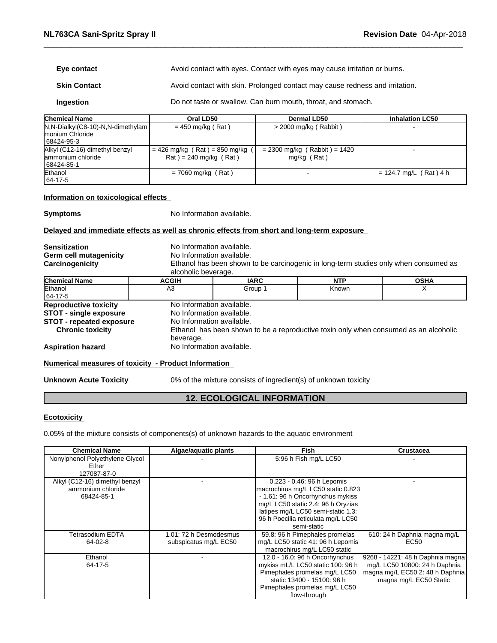| Eye contact         | Avoid contact with eyes. Contact with eyes may cause irritation or burns.    |
|---------------------|------------------------------------------------------------------------------|
| <b>Skin Contact</b> | Avoid contact with skin. Prolonged contact may cause redness and irritation. |

**Ingestion Do not taste or swallow. Can burn mouth, throat, and stomach.** 

| <b>Chemical Name</b>                                                    | Oral LD50                                                                      | Dermal LD50                                   | <b>Inhalation LC50</b>   |
|-------------------------------------------------------------------------|--------------------------------------------------------------------------------|-----------------------------------------------|--------------------------|
| $N, N-Dialkyl(C8-10)-N, N-dimethylam$<br>Imonium Chloride<br>68424-95-3 | $= 450$ mg/kg (Rat)                                                            | $>$ 2000 mg/kg (Rabbit)                       |                          |
| Alkyl (C12-16) dimethyl benzyl<br>lammonium chloride<br>68424-85-1      | $= 426$ mg/kg (Rat) = 850 mg/kg<br>$\text{Rat}$ ) = 240 mg/kg ( $\text{Rat}$ ) | $= 2300$ mg/kg (Rabbit) = 1420<br>mg/kg (Rat) |                          |
| Ethanol<br>$ 64-17-5 $                                                  | $= 7060$ mg/kg (Rat)                                                           |                                               | $= 124.7$ mg/L (Rat) 4 h |

# **Information on toxicological effects**

**Symptoms** No Information available.

#### **Delayed and immediate effects as well as chronic effects from short and long-term exposure**

| <b>Sensitization</b>                                 | No Information available. |             |                                                                                      |             |
|------------------------------------------------------|---------------------------|-------------|--------------------------------------------------------------------------------------|-------------|
| Germ cell mutagenicity                               | No Information available. |             |                                                                                      |             |
| Carcinogenicity                                      |                           |             | Ethanol has been shown to be carcinogenic in long-term studies only when consumed as |             |
|                                                      | alcoholic beverage.       |             |                                                                                      |             |
| <b>Chemical Name</b>                                 | <b>ACGIH</b>              | <b>IARC</b> | <b>NTP</b>                                                                           | <b>OSHA</b> |
| Ethanol<br>64-17-5                                   | A3                        | Group 1     | Known                                                                                |             |
| <b>Reproductive toxicity</b>                         | No Information available. |             |                                                                                      |             |
| STOT - single exposure                               | No Information available. |             |                                                                                      |             |
| <b>STOT - repeated exposure</b>                      | No Information available. |             |                                                                                      |             |
| <b>Chronic toxicity</b>                              | beverage.                 |             | Ethanol has been shown to be a reproductive toxin only when consumed as an alcoholic |             |
| <b>Aspiration hazard</b>                             | No Information available. |             |                                                                                      |             |
| Numerical measures of toxicity - Product Information |                           |             |                                                                                      |             |

Unknown Acute Toxicity 0% of the mixture consists of ingredient(s) of unknown toxicity

# **12. ECOLOGICAL INFORMATION**

#### **Ecotoxicity**

0.05% of the mixture consists of components(s) of unknown hazards to the aquatic environment

| <b>Chemical Name</b>            | Algae/aquatic plants   | Fish                               | <b>Crustacea</b>                 |
|---------------------------------|------------------------|------------------------------------|----------------------------------|
| Nonylphenol Polyethylene Glycol |                        | 5:96 h Fish mg/L LC50              |                                  |
| Ether                           |                        |                                    |                                  |
| 127087-87-0                     |                        |                                    |                                  |
| Alkyl (C12-16) dimethyl benzyl  |                        | 0.223 - 0.46: 96 h Lepomis         |                                  |
| ammonium chloride               |                        | macrochirus mg/L LC50 static 0.823 |                                  |
| 68424-85-1                      |                        | - 1.61: 96 h Oncorhynchus mykiss   |                                  |
|                                 |                        | mg/L LC50 static 2.4: 96 h Oryzias |                                  |
|                                 |                        | latipes mg/L LC50 semi-static 1.3: |                                  |
|                                 |                        | 96 h Poecilia reticulata mg/L LC50 |                                  |
|                                 |                        | semi-static                        |                                  |
| Tetrasodium EDTA                | 1.01: 72 h Desmodesmus | 59.8: 96 h Pimephales promelas     | 610: 24 h Daphnia magna mg/L     |
| $64-02-8$                       | subspicatus mg/L EC50  | mg/L LC50 static 41: 96 h Lepomis  | EC <sub>50</sub>                 |
|                                 |                        | macrochirus mg/L LC50 static       |                                  |
| Ethanol                         |                        | 12.0 - 16.0: 96 h Oncorhynchus     | 9268 - 14221: 48 h Daphnia magna |
| 64-17-5                         |                        | mykiss mL/L LC50 static 100: 96 h  | mg/L LC50 10800: 24 h Daphnia    |
|                                 |                        | Pimephales promelas mg/L LC50      | magna mg/L EC50 2: 48 h Daphnia  |
|                                 |                        | static 13400 - 15100: 96 h         | magna mg/L EC50 Static           |
|                                 |                        | Pimephales promelas mg/L LC50      |                                  |
|                                 |                        | flow-through                       |                                  |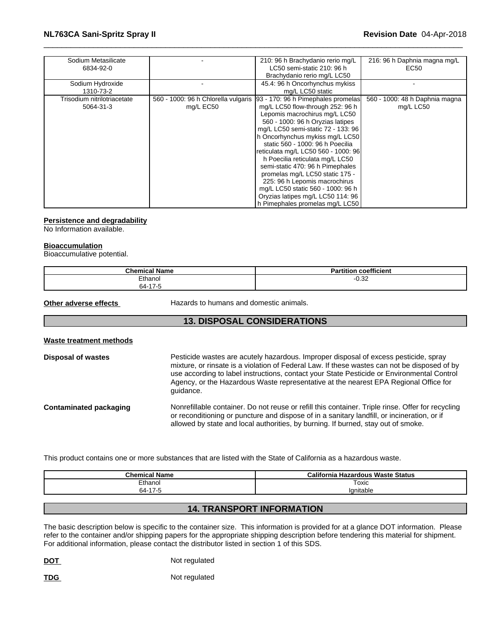# \_\_\_\_\_\_\_\_\_\_\_\_\_\_\_\_\_\_\_\_\_\_\_\_\_\_\_\_\_\_\_\_\_\_\_\_\_\_\_\_\_\_\_\_\_\_\_\_\_\_\_\_\_\_\_\_\_\_\_\_\_\_\_\_\_\_\_\_\_\_\_\_\_\_\_\_\_\_\_\_\_\_\_\_\_\_\_\_\_\_\_\_\_ **NL763CA Sani-Spritz Spray II Revision Date** 04-Apr-2018

| Sodium Metasilicate<br>6834-92-0         |                                                  | 210: 96 h Brachydanio rerio mg/L<br>LC50 semi-static 210: 96 h<br>Brachydanio rerio mg/L LC50                                                                                                                                                                                                                                                                                                                                                                                                                                                           | 216: 96 h Daphnia magna mg/L<br>EC50        |
|------------------------------------------|--------------------------------------------------|---------------------------------------------------------------------------------------------------------------------------------------------------------------------------------------------------------------------------------------------------------------------------------------------------------------------------------------------------------------------------------------------------------------------------------------------------------------------------------------------------------------------------------------------------------|---------------------------------------------|
| Sodium Hydroxide<br>1310-73-2            |                                                  | 45.4: 96 h Oncorhynchus mykiss<br>mg/L LC50 static                                                                                                                                                                                                                                                                                                                                                                                                                                                                                                      |                                             |
| Trisodium nitrilotriacetate<br>5064-31-3 | 560 - 1000: 96 h Chlorella vulgaris<br>mg/L EC50 | 93 - 170: 96 h Pimephales promelas<br>mg/L LC50 flow-through 252: 96 h<br>Lepomis macrochirus mg/L LC50<br>560 - 1000: 96 h Oryzias latipes<br>mg/L LC50 semi-static 72 - 133: 96<br>h Oncorhynchus mykiss mg/L LC50<br>static 560 - 1000: 96 h Poecilia<br>reticulata mg/L LC50 560 - 1000: 96<br>h Poecilia reticulata mg/L LC50<br>semi-static 470: 96 h Pimephales<br>promelas mg/L LC50 static 175 -<br>225: 96 h Lepomis macrochirus<br>mg/L LC50 static 560 - 1000: 96 h<br>Oryzias latipes mg/L LC50 114: 96<br>h Pimephales promelas mg/L LC50 | 560 - 1000: 48 h Daphnia magna<br>mg/L LC50 |

#### **Persistence and degradability**

No Information available.

#### **Bioaccumulation**

Bioaccumulative potential.

| <b>Chemical Name</b> | coefficient<br><b>Partition</b> |
|----------------------|---------------------------------|
| Ethanol              | ∩ วว<br>-∪.ა∠                   |
| 64-17-5              |                                 |

**Other adverse effects** Hazards to humans and domestic animals.

# **13. DISPOSAL CONSIDERATIONS**

#### **Waste treatment methods**

| <b>Disposal of wastes</b> | Pesticide wastes are acutely hazardous. Improper disposal of excess pesticide, spray<br>mixture, or rinsate is a violation of Federal Law. If these wastes can not be disposed of by<br>use according to label instructions, contact your State Pesticide or Environmental Control<br>Agency, or the Hazardous Waste representative at the nearest EPA Regional Office for<br>quidance. |  |  |  |
|---------------------------|-----------------------------------------------------------------------------------------------------------------------------------------------------------------------------------------------------------------------------------------------------------------------------------------------------------------------------------------------------------------------------------------|--|--|--|
| Contaminated packaging    | Nonrefillable container. Do not reuse or refill this container. Triple rinse. Offer for recycling<br>or reconditioning or puncture and dispose of in a sanitary landfill, or incineration, or if<br>allowed by state and local authorities, by burning. If burned, stay out of smoke.                                                                                                   |  |  |  |

This product contains one or more substances that are listed with the State of California as a hazardous waste.

| <b>Chemical Name</b> | California Hazardous Waste Status |
|----------------------|-----------------------------------|
| Ethanol              | Гохіс                             |
| 64-17-5              | Ignitable                         |
|                      |                                   |

# **14. TRANSPORT INFORMATION**

The basic description below is specific to the container size. This information is provided for at a glance DOT information. Please refer to the container and/or shipping papers for the appropriate shipping description before tendering this material for shipment. For additional information, please contact the distributor listed in section 1 of this SDS.

**DOT** Not regulated

**TDG** Not regulated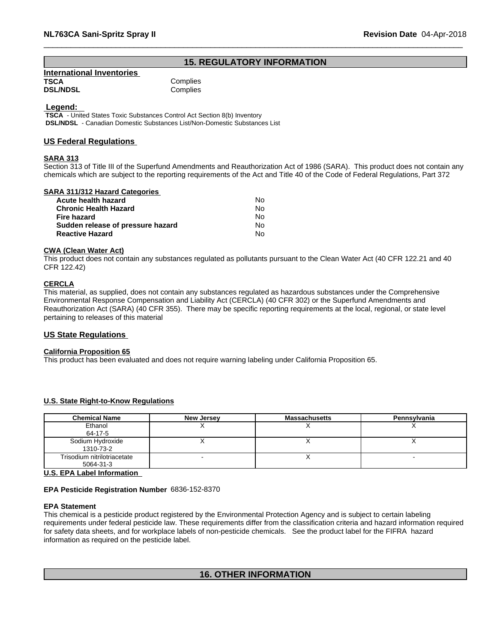# **15. REGULATORY INFORMATION**

| <b>International Inventories</b> |          |
|----------------------------------|----------|
| TSCA                             | Complies |
| <b>DSL/NDSL</b>                  | Complies |

#### **Legend:**

 **TSCA** - United States Toxic Substances Control Act Section 8(b) Inventory  **DSL/NDSL** - Canadian Domestic Substances List/Non-Domestic Substances List

#### **US Federal Regulations**

#### **SARA 313**

Section 313 of Title III of the Superfund Amendments and Reauthorization Act of 1986 (SARA). This product does not contain any chemicals which are subject to the reporting requirements of the Act and Title 40 of the Code of Federal Regulations, Part 372

#### **SARA 311/312 Hazard Categories**

| Acute health hazard               | No. |
|-----------------------------------|-----|
| <b>Chronic Health Hazard</b>      | Nο  |
| Fire hazard                       | N٥  |
| Sudden release of pressure hazard | Nο  |
| <b>Reactive Hazard</b>            | N٥  |

### **CWA (Clean WaterAct)**

This product does not contain any substances regulated as pollutants pursuant to the Clean Water Act (40 CFR 122.21 and 40 CFR 122.42)

# **CERCLA**

This material, as supplied, does not contain any substances regulated as hazardous substances under the Comprehensive Environmental Response Compensation and Liability Act (CERCLA) (40 CFR 302) or the Superfund Amendments and Reauthorization Act (SARA) (40 CFR 355). There may be specific reporting requirements at the local, regional, or state level pertaining to releases of this material

#### **US State Regulations**

#### **California Proposition 65**

This product has been evaluated and does not require warning labeling under California Proposition 65.

#### **U.S. State Right-to-Know Regulations**

| <b>Chemical Name</b>                               | New Jersey | <b>Massachusetts</b> | Pennsylvania |  |
|----------------------------------------------------|------------|----------------------|--------------|--|
| Ethanol                                            |            |                      |              |  |
| 64-17-5                                            |            |                      |              |  |
| Sodium Hydroxide                                   |            |                      |              |  |
| 1310-73-2                                          |            |                      |              |  |
| Trisodium nitrilotriacetate                        |            |                      |              |  |
| 5064-31-3                                          |            |                      |              |  |
| $\mathbf{H} \bullet \mathbf{H} \bullet \mathbf{H}$ |            |                      |              |  |

#### **U.S. EPA Label Information**

#### **EPA Pesticide Registration Number** 6836-152-8370

#### **EPA Statement**

This chemical is a pesticide product registered by the Environmental Protection Agency and is subject to certain labeling requirements under federal pesticide law. These requirements differ from the classification criteria and hazard information required for safety data sheets, and for workplace labels of non-pesticide chemicals. See the product label for the FIFRA hazard information as required on the pesticide label.

## **16. OTHER INFORMATION**